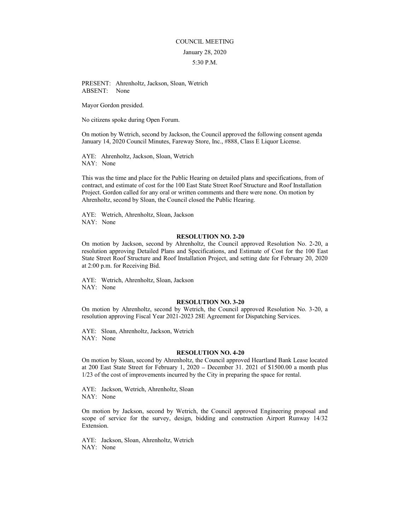## COUNCIL MEETING January 28, 2020 5:30 P.M.

PRESENT: Ahrenholtz, Jackson, Sloan, Wetrich ABSENT: None

Mayor Gordon presided.

No citizens spoke during Open Forum.

On motion by Wetrich, second by Jackson, the Council approved the following consent agenda January 14, 2020 Council Minutes, Fareway Store, Inc., #888, Class E Liquor License.

 AYE: Ahrenholtz, Jackson, Sloan, Wetrich NAY: None

This was the time and place for the Public Hearing on detailed plans and specifications, from of contract, and estimate of cost for the 100 East State Street Roof Structure and Roof Installation Project. Gordon called for any oral or written comments and there were none. On motion by Ahrenholtz, second by Sloan, the Council closed the Public Hearing.

AYE: Wetrich, Ahrenholtz, Sloan, Jackson NAY: None

## RESOLUTION NO. 2-20

On motion by Jackson, second by Ahrenholtz, the Council approved Resolution No. 2-20, a resolution approving Detailed Plans and Specifications, and Estimate of Cost for the 100 East State Street Roof Structure and Roof Installation Project, and setting date for February 20, 2020 at 2:00 p.m. for Receiving Bid.

AYE: Wetrich, Ahrenholtz, Sloan, Jackson NAY: None

## RESOLUTION NO. 3-20

On motion by Ahrenholtz, second by Wetrich, the Council approved Resolution No. 3-20, a resolution approving Fiscal Year 2021-2023 28E Agreement for Dispatching Services.

AYE: Sloan, Ahrenholtz, Jackson, Wetrich NAY: None

## RESOLUTION NO. 4-20

On motion by Sloan, second by Ahrenholtz, the Council approved Heartland Bank Lease located at  $200$  East State Street for February 1,  $2020 -$  December 31. 2021 of \$1500.00 a month plus 1/23 of the cost of improvements incurred by the City in preparing the space for rental.

AYE: Jackson, Wetrich, Ahrenholtz, Sloan NAY: None

On motion by Jackson, second by Wetrich, the Council approved Engineering proposal and scope of service for the survey, design, bidding and construction Airport Runway 14/32 Extension.

AYE: Jackson, Sloan, Ahrenholtz, Wetrich NAY: None